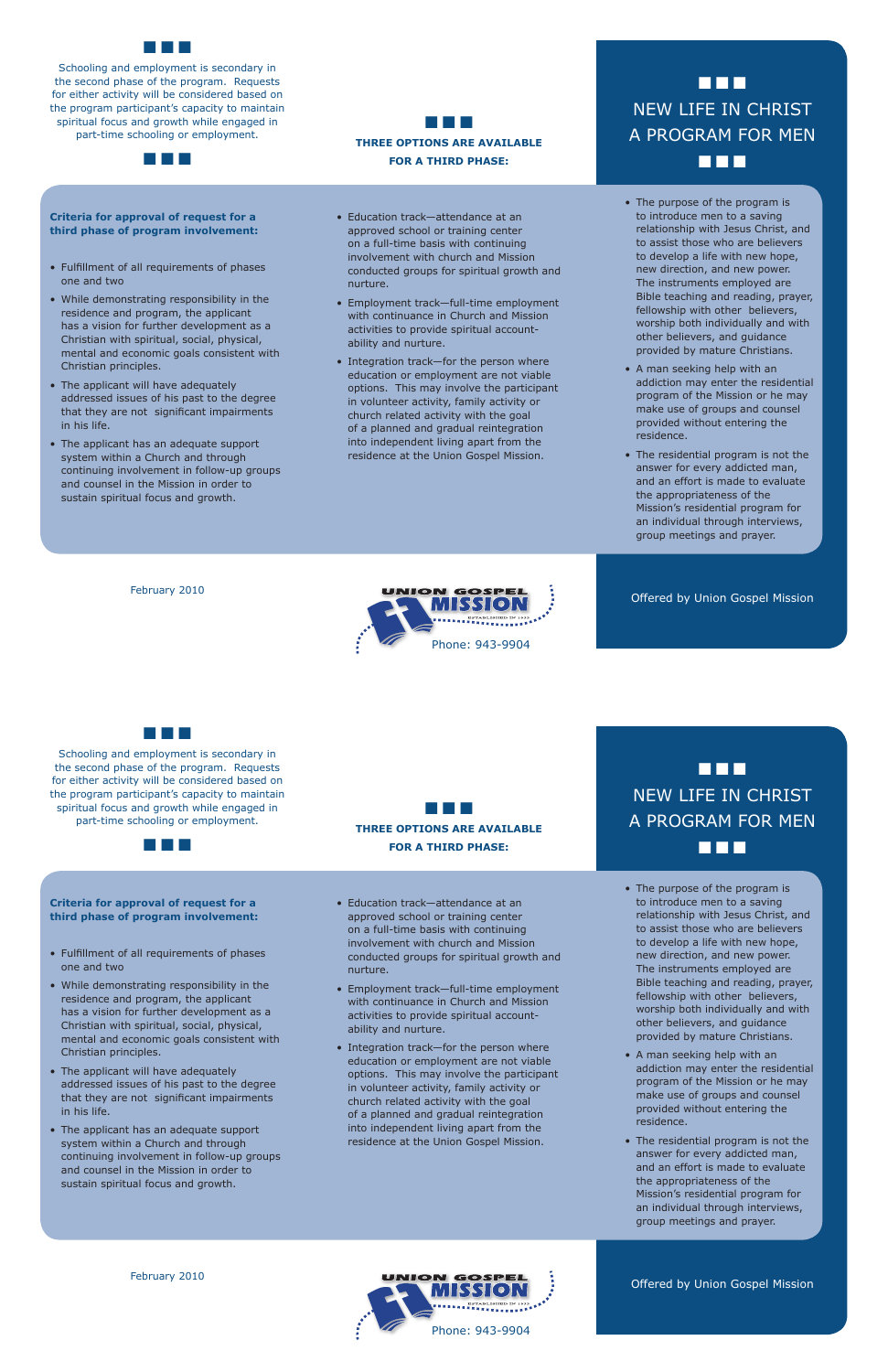- The purpose of the program is to introduce men to a saving relationship with Jesus Christ, and to assist those who are believers to develop a life with new hope, new direction, and new power. The instruments employed are Bible teaching and reading, prayer, fellowship with other believers, worship both individually and with other believers, and guidance provided by mature Christians.
- A man seeking help with an addiction may enter the residential program of the Mission or he may make use of groups and counsel provided without entering the residence.
- The residential program is not the answer for every addicted man, and an effort is made to evaluate the appropriateness of the Mission's residential program for an individual through interviews, group meetings and prayer.

• The purpose of the program is to introduce men to a saving relationship with Jesus Christ, and to assist those who are believers to develop a life with new hope, new direction, and new power. The instruments employed are Bible teaching and reading, prayer, fellowship with other believers,

Offered by Union Gospel Mission

## ■ ■ ■ NEW LIFE IN CHRIST A PROGRAM FOR MEN ■ ■ ■

Offered by Union Gospel Mission



Schooling and employment is secondary in the second phase of the program. Requests for either activity will be considered based on the program participant's capacity to maintain spiritual focus and growth while engaged in part-time schooling or employment.

> • Education track-attendance at an approved school or training center on a full-time basis with continuing involvement with church and Mission



#### **Criteria for approval of request for a third phase of program involvement:**

• Integration track-for the person where education or employment are not viable options. This may involve the participant in volunteer activity, family activity or church related activity with the goal of a planned and gradual reintegration into independent living apart from the residence at the Union Gospel Mission.

# ■ ■ ■ NEW LIFE IN CHRIST A PROGRAM FOR MEN  $\blacksquare$

- Fulfillment of all requirements of phases one and two
- While demonstrating responsibility in the residence and program, the applicant
- Education track-attendance at an approved school or training center on a full-time basis with continuing involvement with church and Mission conducted groups for spiritual growth and nurture.
- Employment track-full-time employment with continuance in Church and Mission
- • Fulfillment of all requirements of phases one and two
- While demonstrating responsibility in the residence and program, the applicant has a vision for further development as a Christian with spiritual, social, physical, mental and economic goals consistent with Christian principles.
- The applicant will have adequately addressed issues of his past to the degree that they are not significant impairments in his life.
- The applicant has an adequate support system within a Church and through continuing involvement in follow-up groups and counsel in the Mission in order to sustain spiritual focus and growth.

- has a vision for further development as a Christian with spiritual, social, physical, mental and economic goals consistent with Christian principles.
- The applicant will have adequately addressed issues of his past to the degree that they are not significant impairments in his life.
- The applicant has an adequate support system within a Church and through continuing involvement in follow-up groups and counsel in the Mission in order to sustain spiritual focus and growth.
- activities to provide spiritual accountability and nurture.
- Integration track-for the person where education or employment are not viable options. This may involve the participant in volunteer activity, family activity or church related activity with the goal of a planned and gradual reintegration into independent living apart from the residence at the Union Gospel Mission.
- worship both individually and with other believers, and guidance provided by mature Christians.
- A man seeking help with an addiction may enter the residential program of the Mission or he may make use of groups and counsel provided without entering the residence.
- The residential program is not the answer for every addicted man, and an effort is made to evaluate the appropriateness of the Mission's residential program for an individual through interviews, group meetings and prayer.

February 2010

■ ■ ■

Schooling and employment is secondary in the second phase of the program. Requests for either activity will be considered based on the program participant's capacity to maintain spiritual focus and growth while engaged in part-time schooling or employment.

■ ■ ■

#### **Criteria for approval of request for a third phase of program involvement:**

February 2010

■ ■ ■

**THREE OPTIONS ARE AVAILABLE FOR A THIRD PHASE:**

conducted groups for spiritual growth and

nurture. • Employment track-full-time employment with continuance in Church and Mission activities to provide spiritual accountability and nurture.